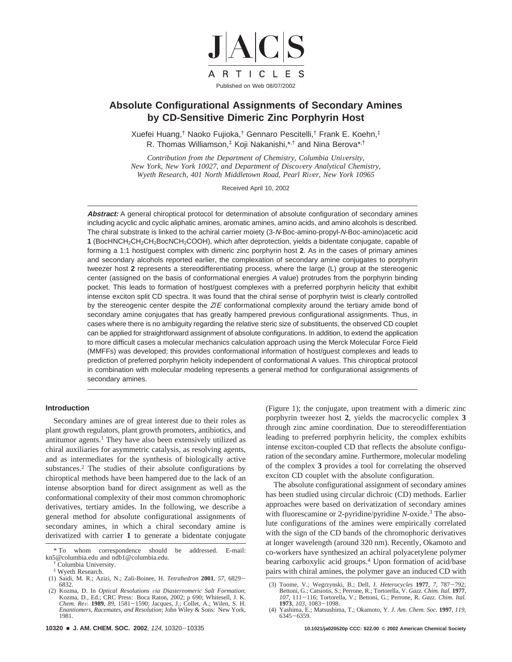

# **Absolute Configurational Assignments of Secondary Amines by CD-Sensitive Dimeric Zinc Porphyrin Host**

Xuefei Huang,† Naoko Fujioka,† Gennaro Pescitelli,† Frank E. Koehn,‡ R. Thomas Williamson,‡ Koji Nakanishi,\*,† and Nina Berova\*,†

*Contribution from the Department of Chemistry, Columbia University, New York, New York 10027, and Department of Discovery Analytical Chemistry, Wyeth Research, 401 North Middletown Road, Pearl River, New York 10965* 

Received April 10, 2002

**Abstract:** A general chiroptical protocol for determination of absolute configuration of secondary amines including acyclic and cyclic aliphatic amines, aromatic amines, amino acids, and amino alcohols is described. The chiral substrate is linked to the achiral carrier moiety (3-N-Boc-amino-propyl-N-Boc-amino)acetic acid **1** (BocHNCH2CH2CH2BocNCH2COOH), which after deprotection, yields a bidentate conjugate, capable of forming a 1:1 host/guest complex with dimeric zinc porphyrin host **2**. As in the cases of primary amines and secondary alcohols reported earlier, the complexation of secondary amine conjugates to porphyrin tweezer host **2** represents a stereodifferentiating process, where the large (L) group at the stereogenic center (assigned on the basis of conformational energies A value) protrudes from the porphyrin binding pocket. This leads to formation of host/guest complexes with a preferred porphyrin helicity that exhibit intense exciton split CD spectra. It was found that the chiral sense of porphyrin twist is clearly controlled by the stereogenic center despite the  $Z/E$  conformational complexity around the tertiary amide bond of secondary amine conjugates that has greatly hampered previous configurational assignments. Thus, in cases where there is no ambiguity regarding the relative steric size of substituents, the observed CD couplet can be applied for straightforward assignment of absolute configurations. In addition, to extend the application to more difficult cases a molecular mechanics calculation approach using the Merck Molecular Force Field (MMFFs) was developed; this provides conformational information of host/guest complexes and leads to prediction of preferred porphyrin helicity independent of conformational A values. This chiroptical protocol in combination with molecular modeling represents a general method for configurational assignments of secondary amines.

# **Introduction**

Secondary amines are of great interest due to their roles as plant growth regulators, plant growth promoters, antibiotics, and antitumor agents.<sup>1</sup> They have also been extensively utilized as chiral auxiliaries for asymmetric catalysis, as resolving agents, and as intermediates for the synthesis of biologically active substances.2 The studies of their absolute configurations by chiroptical methods have been hampered due to the lack of an intense absorption band for direct assignment as well as the conformational complexity of their most common chromophoric derivatives, tertiary amides. In the following, we describe a general method for absolute configurational assignments of secondary amines, in which a chiral secondary amine is derivatized with carrier **1** to generate a bidentate conjugate

(Figure 1); the conjugate, upon treatment with a dimeric zinc porphyrin tweezer host **2**, yields the macrocyclic complex **3** through zinc amine coordination. Due to stereodifferentiation leading to preferred porphyrin helicity, the complex exhibits intense exciton-coupled CD that reflects the absolute configuration of the secondary amine. Furthermore, molecular modeling of the complex **3** provides a tool for correlating the observed exciton CD couplet with the absolute configuration.

The absolute configurational assignment of secondary amines has been studied using circular dichroic (CD) methods. Earlier approaches were based on derivatization of secondary amines with fluorescamine or 2-pyridine/pyridine *N*-oxide.<sup>3</sup> The absolute configurations of the amines were empirically correlated with the sign of the CD bands of the chromophoric derivatives at longer wavelength (around 320 nm). Recently, Okamoto and co-workers have synthesized an achiral polyacetylene polymer bearing carboxylic acid groups.4 Upon formation of acid/base pairs with chiral amines, the polymer gave an induced CD with

<sup>\*</sup> To whom correspondence should be addressed. E-mail: kn5@columbia.edu and ndb1@columbia.edu.

<sup>†</sup> Columbia University.

<sup>‡</sup> Wyeth Research.

<sup>(1)</sup> Saidi, M. R.; Azizi, N.; Zali-Boinee, H. *Tetrahedron* **<sup>2001</sup>**, *<sup>57</sup>*, 6829- 6832.<br>(2) Kozma, D. In Optical Resolutions via Diastereomeric Salt Formation;

<sup>(2)</sup> Kozma, D. In *Optical Resolutions* <sup>V</sup>*ia Diastereomeric Salt Formation*; Kozma, D., Ed.; CRC Press: Boca Raton, 2002; p 690; Whitesell, J. K. *Chem. Re*V*.* **<sup>1989</sup>**, *<sup>89</sup>*, 1581-1590; Jacques, J.; Collet, A.; Wilen, S. H. *Enantiomers, Racemates, and Resolution*; John Wiley & Sons: New York, 1981.

<sup>(3)</sup> Toome, V.; Wegrzynski, B.; Dell, J. *Heterocycles* **<sup>1977</sup>**, *<sup>7</sup>*, 787-792; Bettoni, G.; Catsiotis, S.; Perrone, R.; Tortorella, V. *Gazz. Chim. Ital.* **<sup>1977</sup>**, *<sup>107</sup>*, 111-116; Tortorella, V.; Bettoni, G.; Perrone, R. *Gazz. Chim. Ital.* **<sup>1973</sup>**, *<sup>103</sup>*, 1083-1098. (4) Yashima, E.; Matsushima, T.; Okamoto, Y. *J. Am. Chem. Soc.* **1997**, *119*,

<sup>6345</sup>-6359.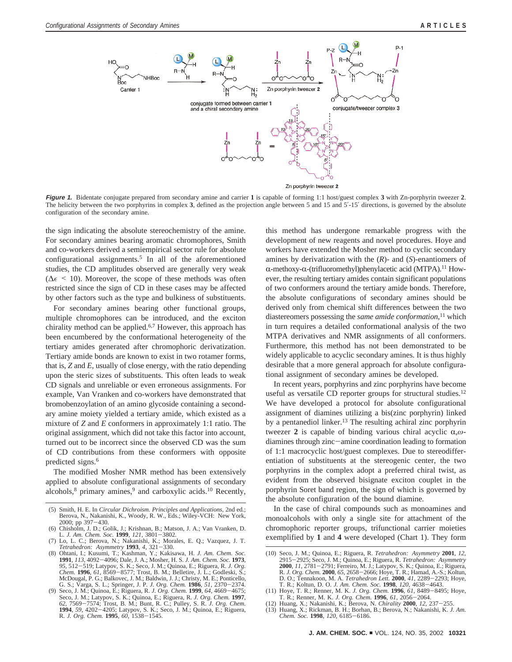

**Figure 1.** Bidentate conjugate prepared from secondary amine and carrier **1** is capable of forming 1:1 host/guest complex **3** with Zn-porphyrin tweezer **2**. The helicity between the two porphyrins in complex **3**, defined as the projection angle between 5 and 15 and 5′-15′ directions, is governed by the absolute configuration of the secondary amine.

the sign indicating the absolute stereochemistry of the amine. For secondary amines bearing aromatic chromophores, Smith and co-workers derived a semiempirical sector rule for absolute configurational assignments.5 In all of the aforementioned studies, the CD amplitudes observed are generally very weak ( $\Delta \epsilon$  < 10). Moreover, the scope of these methods was often restricted since the sign of CD in these cases may be affected by other factors such as the type and bulkiness of substituents.

For secondary amines bearing other functional groups, multiple chromophores can be introduced, and the exciton chirality method can be applied.<sup>6,7</sup> However, this approach has been encumbered by the conformational heterogeneity of the tertiary amides generated after chromophoric derivatization. Tertiary amide bonds are known to exist in two rotamer forms, that is, *Z* and *E*, usually of close energy, with the ratio depending upon the steric sizes of substituents. This often leads to weak CD signals and unreliable or even erroneous assignments. For example, Van Vranken and co-workers have demonstrated that bromobenzoylation of an amino glycoside containing a secondary amine moiety yielded a tertiary amide, which existed as a mixture of *Z* and *E* conformers in approximately 1:1 ratio. The original assignment, which did not take this factor into account, turned out to be incorrect since the observed CD was the sum of CD contributions from these conformers with opposite predicted signs.6

The modified Mosher NMR method has been extensively applied to absolute configurational assignments of secondary alcohols, ${}^{8}$  primary amines, ${}^{9}$  and carboxylic acids.<sup>10</sup> Recently,

this method has undergone remarkable progress with the development of new reagents and novel procedures. Hoye and workers have extended the Mosher method to cyclic secondary amines by derivatization with the (*R*)- and (*S*)-enantiomers of  $\alpha$ -methoxy- $\alpha$ -(trifluoromethyl)phenylacetic acid (MTPA).<sup>11</sup> However, the resulting tertiary amides contain significant populations of two conformers around the tertiary amide bonds. Therefore, the absolute configurations of secondary amines should be derived only from chemical shift differences between the two diastereomers possessing the *same amide conformation*, <sup>11</sup> which in turn requires a detailed conformational analysis of the two MTPA derivatives and NMR assignments of all conformers. Furthermore, this method has not been demonstrated to be widely applicable to acyclic secondary amines. It is thus highly desirable that a more general approach for absolute configurational assignment of secondary amines be developed.

In recent years, porphyrins and zinc porphyrins have become useful as versatile CD reporter groups for structural studies.12 We have developed a protocol for absolute configurational assignment of diamines utilizing a bis(zinc porphyrin) linked by a pentanediol linker.<sup>13</sup> The resulting achiral zinc porphyrin tweezer 2 is capable of binding various chiral acyclic  $α, ω$ diamines through zinc-amine coordination leading to formation of 1:1 macrocyclic host/guest complexes. Due to stereodifferentiation of substituents at the stereogenic center, the two porphyrins in the complex adopt a preferred chiral twist, as evident from the observed bisignate exciton couplet in the porphyrin Soret band region, the sign of which is governed by the absolute configuration of the bound diamine.

In the case of chiral compounds such as monoamines and monoalcohols with only a single site for attachment of the chromophoric reporter groups, trifunctional carrier moieties exemplified by **1** and **4** were developed (Chart 1). They form

<sup>(5)</sup> Smith, H. E. In *Circular Dichroism. Principles and Applications*, 2nd ed.; Berova, N., Nakanishi, K., Woody, R. W., Eds.; Wiley-VCH: New York,

<sup>2000;</sup> pp 397–430.<br>Chisholm, J. D.; Golik, J.; Krishnan, B.; Mats<br>L. *J. Am. Chem. Soc.* **1999**, *121*, 3801–3802. (6) Chisholm, J. D.; Golik, J.; Krishnan, B.; Matson, J. A.; Van Vranken, D. L. *J. Am. Chem. Soc.* **<sup>1999</sup>**, *<sup>121</sup>*, 3801-3802. (7) Lo, L. C.; Berova, N.; Nakanishi, K.; Morales, E. Q.; Vazquez, J. T.

*Tetrahedron: Asymmetry* **<sup>1993</sup>**, *<sup>4</sup>*, 321-330.

<sup>(8)</sup> Ohtani, I.; Kusumi, T.; Kashman, Y.; Kakisawa, H. *J. Am. Chem. Soc.* **<sup>1991</sup>**, *<sup>113</sup>*, 4092-4096; Dale, J. A.; Mosher, H. S. *J. Am. Chem. Soc.* **<sup>1973</sup>**, *<sup>95</sup>*, 512-519; Latypov, S. K.; Seco, J. M.; Quinoa, E.; Riguera, R. *J. Org. Chem.* **<sup>1996</sup>**, *<sup>61</sup>*, 8569-8577; Trost, B. M.; Belletire, J. L.; Godleski, S.; McDougal, P. G.; Balkovec, J. M.; Baldwin, J. J.; Christy, M. E.; Ponticello, G. S.; Varga, S. L.; Springer, J. P. *J. Org. Chem.* **<sup>1986</sup>**, *<sup>51</sup>*, 2370-2374.

<sup>(9)</sup> Seco, J. M.; Quinoa, E.; Riguera, R. *J. Org. Chem.* **<sup>1999</sup>**, *<sup>64</sup>*, 4669-4675; Seco, J. M.; Latypov, S. K.; Quinoa, E.; Riguera, R. *J. Org. Chem.* **1997**, 62, 7569–7574; Trost, B. M.; Bunt, R. C.; Pulley, S. R. *J. Org. Chem.*<br>**1994**, 59, 4202–4205; Latypov, S. K.; Seco, J. M.; Quinoa, E.; Riguera, R. *J. Org. Chem.* **1995**, 60, 1538–1545.

<sup>(10)</sup> Seco, J. M.; Quinoa, E.; Riguera, R. *Tetrahedron: Asymmetry* **2001**, *12*, 2915–2925; Seco, J. M.; Quinoa, E.; Riguera, R. *Tetrahedron: Asymmetry*<br>**2000**, *11*, 2781–2791; Ferreiro, M. J.; Latypov, S. K.; Quinoa, E.; Riguera,<br>R. J. Org. Chem. 2000, 65, 2658–2666; Hoye, T. R.; Hamad, A.-S.; Koltu D. O.; Tennakoon, M. A. *Tetrahedron Lett.* **<sup>2000</sup>**, *<sup>41</sup>*, 2289-2293; Hoye, T. R.; Koltun, D. O. *J. Am. Chem. Soc.* **<sup>1998</sup>**, *<sup>120</sup>*, 4638-4643. (11) Hoye, T. R.; Renner, M. K. *J. Org. Chem.* **<sup>1996</sup>**, *<sup>61</sup>*, 8489-8495; Hoye,

T. R.; Renner, M. K. *J. Org. Chem.* **<sup>1996</sup>**, *<sup>61</sup>*, 2056-2064. (12) Huang, X.; Nakanishi, K.; Berova, N. *Chirality* **<sup>2000</sup>**, *<sup>12</sup>*, 237-255.

<sup>(13)</sup> Huang, X.; Rickman, B. H.; Borhan, B.; Berova, N.; Nakanishi, K. *J. Am. Chem. Soc.* **<sup>1998</sup>**, *<sup>120</sup>*, 6185-6186.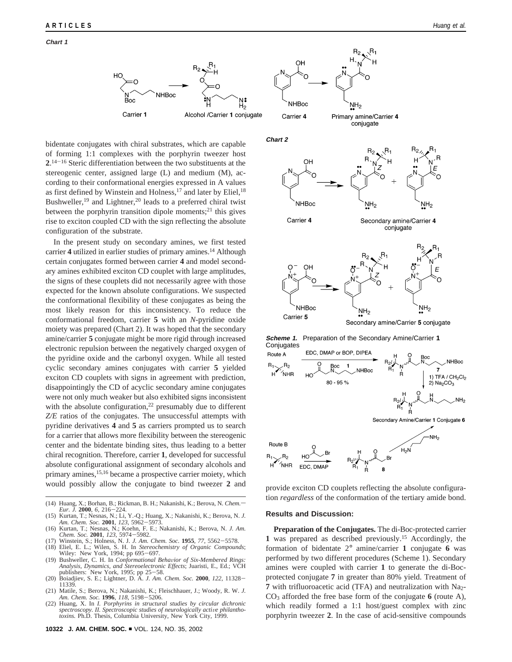

bidentate conjugates with chiral substrates, which are capable of forming 1:1 complexes with the porphyrin tweezer host **2**. <sup>14</sup>-<sup>16</sup> Steric differentiation between the two substituents at the stereogenic center, assigned large (L) and medium (M), according to their conformational energies expressed in A values as first defined by Winstein and Holness,<sup>17</sup> and later by Eliel,<sup>18</sup> Bushweller,<sup>19</sup> and Lightner,<sup>20</sup> leads to a preferred chiral twist between the porphyrin transition dipole moments; $^{21}$  this gives rise to exciton coupled CD with the sign reflecting the absolute configuration of the substrate.

In the present study on secondary amines, we first tested carrier 4 utilized in earlier studies of primary amines.<sup>14</sup> Although certain conjugates formed between carrier **4** and model secondary amines exhibited exciton CD couplet with large amplitudes, the signs of these couplets did not necessarily agree with those expected for the known absolute configurations. We suspected the conformational flexibility of these conjugates as being the most likely reason for this inconsistency. To reduce the conformational freedom, carrier **5** with an *N*-pyridine oxide moiety was prepared (Chart 2). It was hoped that the secondary amine/carrier **5** conjugate might be more rigid through increased electronic repulsion between the negatively charged oxygen of the pyridine oxide and the carbonyl oxygen. While all tested cyclic secondary amines conjugates with carrier **5** yielded exciton CD couplets with signs in agreement with prediction, disappointingly the CD of acyclic secondary amine conjugates were not only much weaker but also exhibited signs inconsistent with the absolute configuration,<sup>22</sup> presumably due to different *Z/E* ratios of the conjugates. The unsuccessful attempts with pyridine derivatives **4** and **5** as carriers prompted us to search for a carrier that allows more flexibility between the stereogenic center and the bidentate binding sites, thus leading to a better chiral recognition. Therefore, carrier **1**, developed for successful absolute configurational assignment of secondary alcohols and primary amines,<sup>15,16</sup> became a prospective carrier moiety, which would possibly allow the conjugate to bind tweezer 2 and provide exciton CD couplets reflecting the absolute configura-

- (14) Huang, X.; Borhan, B.; Rickman, B. H.; Nakanishi, K.; Berova, N. *Chem. Eur. J.* **<sup>2000</sup>**, *<sup>6</sup>*, 216-224. (15) Kurtan, T.; Nesnas, N.; Li, Y.-Q.; Huang, X.; Nakanishi, K.; Berova, N. *J.*
- *Am. Chem. Soc.* **<sup>2001</sup>**, *<sup>123</sup>*, 5962-5973. (16) Kurtan, T.; Nesnas, N.; Koehn, F. E.; Nakanishi, K.; Berova, N. *J. Am.*
- 
- (17) Winstein, S.; Holness, N. J. J. Am. Chem. Soc. 1955, 77, 5562-5578. (17) Winstein, S.; Holness, N. J. *J. Am. Chem. Soc.* **<sup>1955</sup>**, *<sup>77</sup>*, 5562-5578. (18) Eliel, E. L.; Wilen, S. H. In *Stereochemistry of Organic Compounds*;
- Wiley: New York, 1994; pp 695-697.<br>(19) Bushweller, C. H. In Conformational Behavior of Six-Membered Rings:
- (19) Bushweller, C. H. In *Conformational Behavior of Six-Membered Rings: Analysis, Dynamics, and Stereoelectronic Effects; Juaristi, E., Ed.; VCH publishers: New York, 1995; pp 25–58.<br>
(20) Boiadiiev. S. E.: Lightner. D.*
- (20) Boiadjiev, S. E.; Lightner, D. A. *J. Am. Chem. Soc.* **<sup>2000</sup>**, *<sup>122</sup>*, 11328- 11339. (21) Matile, S.; Berova, N.; Nakanishi, K.; Fleischhauer, J.; Woody, R. W. *J.*
- *Am. Chem. Soc.* **<sup>1996</sup>**, *<sup>118</sup>*, 5198-5206. (22) Huang, X. In *I. Porphyrins in structural studies by circular dichronic*
- spectroscopy. II. Spectroscopic studies of neurologically active philantho-<br>toxins. Ph.D. Thesis, Columbia University, New York City, 1999.





Carrier 4





**Scheme 1.** Preparation of the Secondary Amine/Carrier **1 Conjugates** 



tion *regardless* of the conformation of the tertiary amide bond.

## **Results and Discussion:**

**Preparation of the Conjugates.** The di-Boc-protected carrier **1** was prepared as described previously.15 Accordingly, the formation of bidentate 2° amine/carrier **1** conjugate **6** was performed by two different procedures (Scheme 1). Secondary amines were coupled with carrier **1** to generate the di-Bocprotected conjugate **7** in greater than 80% yield. Treatment of **7** with trifluoroacetic acid (TFA) and neutralization with Na<sub>2</sub>-CO3 afforded the free base form of the conjugate **6** (route A), which readily formed a 1:1 host/guest complex with zinc porphyrin tweezer **2**. In the case of acid-sensitive compounds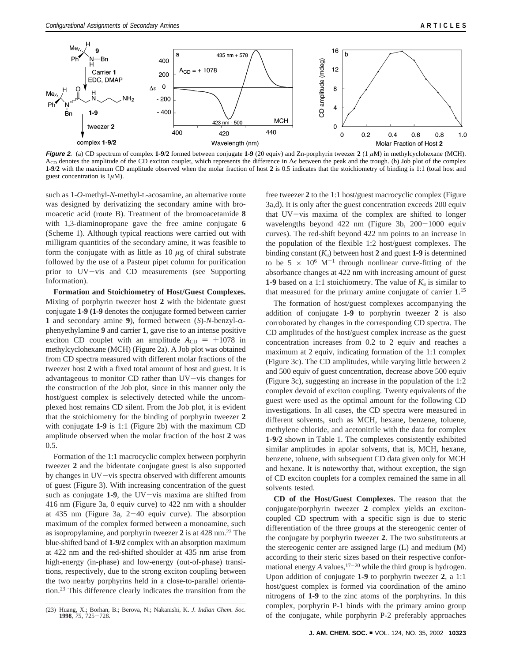

**Figure 2.** (a) CD spectrum of complex **1-9**/**2** formed between conjugate **1-9** (20 equiv) and Zn-porphyrin tweezer **2** (1 *µ*M) in methylcyclohexane (MCH). A<sub>CD</sub> denotes the amplitude of the CD exciton couplet, which represents the difference in ∆ between the peak and the trough. (b) Job plot of the complex **1-9**/**2** with the maximum CD amplitude observed when the molar fraction of host **2** is 0.5 indicates that the stoichiometry of binding is 1:1 (total host and guest concentration is 1*µ*M).

such as 1-*O*-methyl-*N*-methyl-L-acosamine, an alternative route was designed by derivatizing the secondary amine with bromoacetic acid (route B). Treatment of the bromoacetamide **8** with 1,3-diaminopropane gave the free amine conjugate **6** (Scheme 1). Although typical reactions were carried out with milligram quantities of the secondary amine, it was feasible to form the conjugate with as little as 10 *µ*g of chiral substrate followed by the use of a Pasteur pipet column for purification prior to UV-vis and CD measurements (see Supporting Information).

**Formation and Stoichiometry of Host/Guest Complexes.** Mixing of porphyrin tweezer host **2** with the bidentate guest conjugate **1-9 (1-9** denotes the conjugate formed between carrier 1 and secondary amine 9), formed between  $(S)$ -*N*-benzyl- $\alpha$ phenyethylamine **9** and carrier **1**, gave rise to an intense positive exciton CD couplet with an amplitude  $A_{CD} = +1078$  in methylcyclohexane (MCH) (Figure 2a). A Job plot was obtained from CD spectra measured with different molar fractions of the tweezer host **2** with a fixed total amount of host and guest. It is advantageous to monitor CD rather than UV-vis changes for the construction of the Job plot, since in this manner only the host/guest complex is selectively detected while the uncomplexed host remains CD silent. From the Job plot, it is evident that the stoichiometry for the binding of porphyrin tweezer **2** with conjugate **1-9** is 1:1 (Figure 2b) with the maximum CD amplitude observed when the molar fraction of the host **2** was 0.5.

Formation of the 1:1 macrocyclic complex between porphyrin tweezer **2** and the bidentate conjugate guest is also supported by changes in UV-vis spectra observed with different amounts of guest (Figure 3). With increasing concentration of the guest such as conjugate 1-9, the UV-vis maxima are shifted from 416 nm (Figure 3a, 0 equiv curve) to 422 nm with a shoulder at 435 nm (Figure 3a, 2-40 equiv curve). The absorption maximum of the complex formed between a monoamine, such as isopropylamine, and porphyrin tweezer **2** is at 428 nm.23 The blue-shifted band of **1-9/2** complex with an absorption maximum at 422 nm and the red-shifted shoulder at 435 nm arise from high-energy (in-phase) and low-energy (out-of-phase) transitions, respectively, due to the strong exciton coupling between the two nearby porphyrins held in a close-to-parallel orientation.23 This difference clearly indicates the transition from the free tweezer **2** to the 1:1 host/guest macrocyclic complex (Figure 3a,d). It is only after the guest concentration exceeds 200 equiv that UV-vis maxima of the complex are shifted to longer wavelengths beyond 422 nm (Figure 3b, 200-1000 equiv curves). The red-shift beyond 422 nm points to an increase in the population of the flexible 1:2 host/guest complexes. The binding constant  $(K_a)$  between host 2 and guest 1-9 is determined to be 5  $\times$  10<sup>6</sup> M<sup>-1</sup> through nonlinear curve-fitting of the absorbance changes at 422 nm with increasing amount of guest **1-9** based on a 1:1 stoichiometry. The value of *K*<sup>a</sup> is similar to that measured for the primary amine conjugate of carrier **1**. 15

The formation of host/guest complexes accompanying the addition of conjugate **1-9** to porphyrin tweezer **2** is also corroborated by changes in the corresponding CD spectra. The CD amplitudes of the host/guest complex increase as the guest concentration increases from 0.2 to 2 equiv and reaches a maximum at 2 equiv, indicating formation of the 1:1 complex (Figure 3c). The CD amplitudes, while varying little between 2 and 500 equiv of guest concentration, decrease above 500 equiv (Figure 3c), suggesting an increase in the population of the 1:2 complex devoid of exciton coupling. Twenty equivalents of the guest were used as the optimal amount for the following CD investigations. In all cases, the CD spectra were measured in different solvents, such as MCH, hexane, benzene, toluene, methylene chloride, and acetonitrile with the data for complex **1**-**9**/**2** shown in Table 1. The complexes consistently exhibited similar amplitudes in apolar solvents, that is, MCH, hexane, benzene, toluene, with subsequent CD data given only for MCH and hexane. It is noteworthy that, without exception, the sign of CD exciton couplets for a complex remained the same in all solvents tested.

**CD of the Host/Guest Complexes.** The reason that the conjugate/porphyrin tweezer **2** complex yields an excitoncoupled CD spectrum with a specific sign is due to steric differentiation of the three groups at the stereogenic center of the conjugate by porphyrin tweezer **2**. The two substitutents at the stereogenic center are assigned large (L) and medium (M) according to their steric sizes based on their respective conformational energy *A* values,  $17-20$  while the third group is hydrogen. Upon addition of conjugate **1-9** to porphyrin tweezer **2**, a 1:1 host/guest complex is formed via coordination of the amino nitrogens of **1-9** to the zinc atoms of the porphyrins. In this complex, porphyrin P-1 binds with the primary amino group

of the conjugate, while porphyrin P-2 preferably approaches (23) Huang, X.; Borhan, B.; Berova, N.; Nakanishi, K. *J. Indian Chem. Soc.* **<sup>1998</sup>**, *<sup>75</sup>*, 725-728.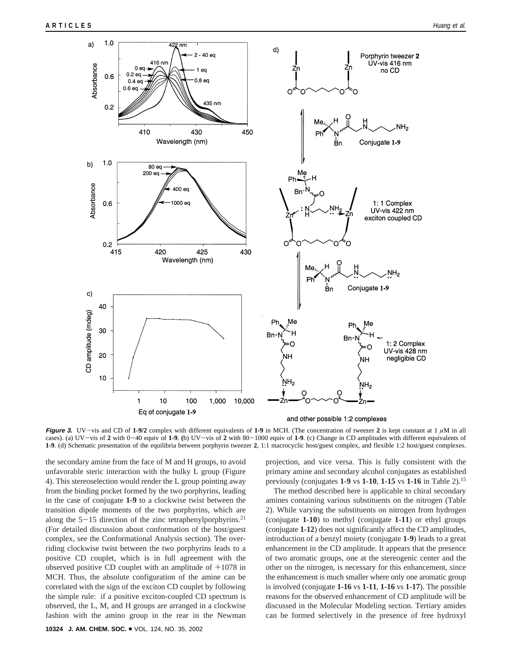

**Figure 3.** UV-vis and CD of  $1-9/2$  complex with different equivalents of  $1-9$  in MCH. (The concentration of tweezer 2 is kept constant at 1  $\mu$ M in all cases). (a) UV-vis of **<sup>2</sup>** with 0-40 equiv of **1-9**. **(**b) UV-vis of **<sup>2</sup>** with 80-1000 equiv of **1-9**. (c) Change in CD amplitudes with different equivalents of **1-9**. (d) Schematic presentation of the equilibria between porphyrin tweezer **2**, 1:1 macrocyclic host/guest complex, and flexible 1:2 host/guest complexes.

the secondary amine from the face of M and H groups, to avoid unfavorable steric interaction with the bulky L group (Figure 4). This stereoselection would render the L group pointing away from the binding pocket formed by the two porphyrins, leading in the case of conjugate **1-9** to a clockwise twist between the transition dipole moments of the two porphyrins, which are along the  $5-15$  direction of the zinc tetraphenylporphyrins.<sup>21</sup> (For detailed discussion about conformation of the host/guest complex, see the Conformational Analysis section). The overriding clockwise twist between the two porphyrins leads to a positive CD couplet, which is in full agreement with the observed positive CD couplet with an amplitude of  $+1078$  in MCH. Thus, the absolute configuration of the amine can be correlated with the sign of the exciton CD couplet by following the simple rule: if a positive exciton-coupled CD spectrum is observed, the L, M, and H groups are arranged in a clockwise fashion with the amino group in the rear in the Newman

projection, and vice versa. This is fully consistent with the primary amine and secondary alcohol conjugates as established previously (conjugates **1-9** vs **1-10**, **1-15** vs **1-16** in Table 2).15

The method described here is applicable to chiral secondary amines containing various substituents on the nitrogen (Table 2). While varying the substituents on nitrogen from hydrogen (conjugate **1-10**) to methyl (conjugate **1-11**) or ethyl groups (conjugate **1-12**) does not significantly affect the CD amplitudes, introduction of a benzyl moiety (conjugate **1-9**) leads to a great enhancement in the CD amplitude. It appears that the presence of two aromatic groups, one at the stereogenic center and the other on the nitrogen, is necessary for this enhancement, since the enhancement is much smaller where only one aromatic group is involved (conjugate **1-16** vs **1-11**, **1-16** vs **1-17**). The possible reasons for the observed enhancement of CD amplitude will be discussed in the Molecular Modeling section. Tertiary amides can be formed selectively in the presence of free hydroxyl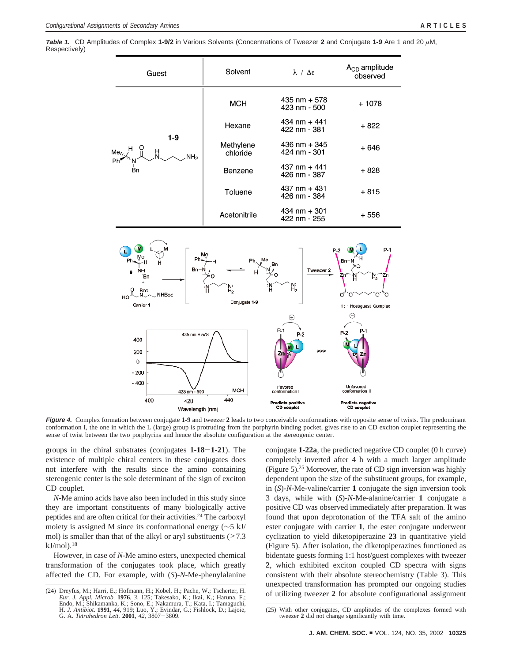**Table 1.** CD Amplitudes of Complex **1-9/2** in Various Solvents (Concentrations of Tweezer **2** and Conjugate **1-9** Are 1 and 20 *µ*M, Respectively)



**Figure 4.** Complex formation between conjugate **1-9** and tweezer **2** leads to two conceivable conformations with opposite sense of twists. The predominant conformation I, the one in which the L (large) group is protruding from the porphyrin binding pocket, gives rise to an CD exciton couplet representing the sense of twist between the two porphyrins and hence the absolute configuration at the stereogenic center.

groups in the chiral substrates (conjugates **1-18**-**1-21**). The existence of multiple chiral centers in these conjugates does not interfere with the results since the amino containing stereogenic center is the sole determinant of the sign of exciton CD couplet.

*N*-Me amino acids have also been included in this study since they are important constituents of many biologically active peptides and are often critical for their activities.24 The carboxyl moiety is assigned M since its conformational energy (∼5 kJ/ mol) is smaller than that of the alkyl or aryl substituents  $(27.3)$  $kJ/mol$ .<sup>18</sup>

However, in case of *N*-Me amino esters, unexpected chemical transformation of the conjugates took place, which greatly affected the CD. For example, with (*S*)-*N*-Me-phenylalanine

conjugate **1-22a**, the predicted negative CD couplet (0 h curve) completely inverted after 4 h with a much larger amplitude (Figure 5).25 Moreover, the rate of CD sign inversion was highly dependent upon the size of the substituent groups, for example, in (*S*)-*N*-Me-valine/carrier **1** conjugate the sign inversion took 3 days, while with (*S*)-*N*-Me-alanine/carrier **1** conjugate a positive CD was observed immediately after preparation. It was found that upon deprotonation of the TFA salt of the amino ester conjugate with carrier **1**, the ester conjugate underwent cyclization to yield diketopiperazine **23** in quantitative yield (Figure 5). After isolation, the diketopiperazines functioned as bidentate guests forming 1:1 host/guest complexes with tweezer **2**, which exhibited exciton coupled CD spectra with signs consistent with their absolute stereochemistry (Table 3). This unexpected transformation has prompted our ongoing studies of utilizing tweezer **2** for absolute configurational assignment (24) Dreyfus, M.; Harri, E.; Hofmann, H.; Kobel, H.; Pache, W.; Tscherter, H.

*Eur. J. Appl. Microb.* **1976**, *3*, 125; Takesako, K.; Ikai, K.; Haruna, F.; Endo, M.; Shikamanka, K.; Sono, E.; Nakamura, T.; Kata, I.; Tamaguchi, H. *J. Antibiot.* **1991**, *44*, 919; Luo, Y.; Evindar, G.; Fishlock, D.; Lajoie, G. A. *Tetrahedron Lett.* **<sup>2001</sup>**, *<sup>42</sup>*, 3807-3809.

<sup>(25)</sup> With other conjugates, CD amplitudes of the complexes formed with tweezer **2** did not change significantly with time.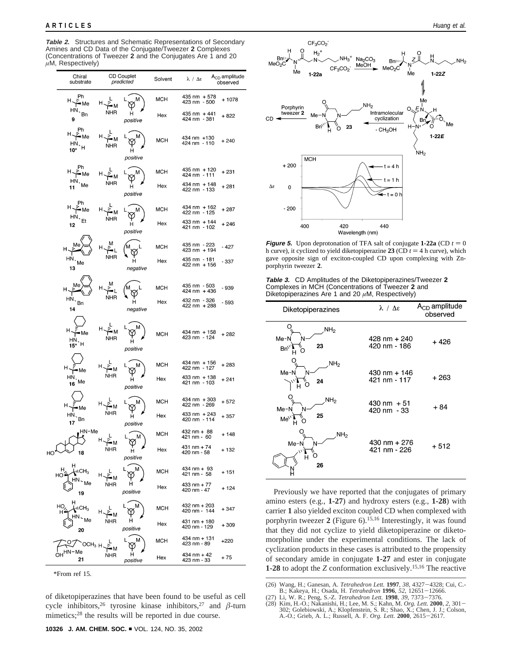**Table 2.** Structures and Schematic Representations of Secondary Amines and CD Data of the Conjugate/Tweezer **2** Complexes (Concentrations of Tweezer **2** and the Conjugates Are 1 and 20 *µ*M, Respectively)

| Chiral<br>substrate                            | <b>CD Couplet</b><br>predicted |                    | Solvent    | $\lambda / \Delta \epsilon$  |                                                                                                        |
|------------------------------------------------|--------------------------------|--------------------|------------|------------------------------|--------------------------------------------------------------------------------------------------------|
| Ph<br>н,<br>•Me                                |                                | м                  | мсн        | 435 nm + 578<br>423 nm - 500 | $+1078$                                                                                                |
| HN.<br>Bn<br>9                                 | NHR                            | н<br>positive      | Hex        | 435 nm + 441<br>424 nm - 381 | $+822$                                                                                                 |
| Ph<br><sup>H </sup> 게 ٣<br>$\frac{HN}{10^*}$ H | NHR                            | н<br>positive      | мсн        | 434 nm +130<br>424 nm - 110  | $+240$                                                                                                 |
| • Me                                           |                                |                    | MCH        | 435 nm + 120<br>424 nm - 111 | + 231                                                                                                  |
| HN,<br>Me<br>11                                | NHR                            | н<br>positive      | Hex        | 434 nm + 148<br>422 nm - 133 | + 281                                                                                                  |
| H ~ Me<br>HN,                                  | н                              | м                  | мсн        | 434 nm + 162<br>422 nm - 125 | + 287                                                                                                  |
| Et<br>12                                       | NHR                            | н<br>positive      | Hex        | 433 nm + 144<br>421 nm - 102 | + 246<br>- 427<br>- 337<br>- 939<br>- 593<br>$+282$<br>+ 283<br>+ 241<br>$+572$<br>+ 357               |
|                                                |                                |                    | мсн        | 435 nm - 223<br>423 nm + 194 |                                                                                                        |
| $HN.$ Me<br>13                                 | NHR                            | н<br>negative      | Hex        | 435 nm - 181<br>422 nm + 156 | $A_{CD}$ amplitude<br>observed<br>+ 148<br>+ 132<br>+ 151<br>+ 124<br>+ 347<br>+309<br>$+220$<br>$+75$ |
|                                                |                                |                    | мсн        | 435 nm - 503<br>424 nm + 436 |                                                                                                        |
| $HN \cdot_{Bn}$<br>14                          | NHR                            | н<br>negative      | Hex        | 432 nm - 326<br>422 nm + 288 |                                                                                                        |
| н<br>•Me<br>$H_N$ , $H_{15*}$                  | NHR                            | н<br>positive      | мсн        | 434 nm + 158<br>423 nm - 124 |                                                                                                        |
| н,<br>Me                                       |                                |                    | мсн        | 434 nm + 156<br>422 nm - 127 |                                                                                                        |
| НN<br>16 <sup>Me</sup>                         | NHR                            | н<br>positive      | Hex        | 433 nm + 138<br>421 nm - 103 |                                                                                                        |
| Me                                             |                                |                    | <b>MCH</b> | 434 nm + 303<br>422 nm - 269 |                                                                                                        |
| нN<br>Bn<br>17                                 | NHR                            | н<br>positive      | Hex        | 433 nm + 243<br>420 nm - 114 |                                                                                                        |
| HN-Me                                          |                                | M                  | мсн        | 432 nm + 88<br>421 nm - 60   |                                                                                                        |
| 18<br>HO                                       | NHR                            | Ψ<br>н<br>positive | Hex        | $431$ nm + 74<br>420 nm - 58 |                                                                                                        |
| н<br>$\blacksquare$<br>HO                      |                                |                    | MCH        | 434 nm + 93<br>421 nm - 58   |                                                                                                        |
| 19                                             | NHR                            | н<br>positive      | Hex        | 433 nm + $77$<br>420 nm - 47 |                                                                                                        |
| HО<br>$\cdot$ i CH $_3$                        |                                | м                  | MCH        | 432 nm + 203<br>420 nm - 144 |                                                                                                        |
| 20                                             | NHR                            | н<br>positive      | Hex        | 431 nm + 180<br>420 nm - 129 |                                                                                                        |
| осн <sub>зн</sub><br>٦N٠<br>-Ме                |                                | L<br>м             | <b>MCH</b> | 434 nm + 131<br>423 nm - 89  |                                                                                                        |
| 21                                             | NHR                            | н<br>positive      | Hex        | 434 nm + 42<br>423 nm - 33   |                                                                                                        |

<sup>\*</sup>From ref 15.

of diketopiperazines that have been found to be useful as cell cycle inhibitors,  $26$  tyrosine kinase inhibitors,  $27$  and  $\beta$ -turn mimetics;<sup>28</sup> the results will be reported in due course.



**Figure 5.** Upon deprotonation of TFA salt of conjugate  $1-22a$  (CD  $t = 0$ ) h curve), it cyclized to yield diketopiperazine 23 (CD  $t = 4$  h curve), which gave opposite sign of exciton-coupled CD upon complexing with Znporphyrin tweezer **2**.

**Table 3.** CD Amplitudes of the Diketopiperazines/Tweezer **2** Complexes in MCH (Concentrations of Tweezer **2** and Diketopiperazines Are 1 and 20 *µ*M, Respectively)

| Diketopiperazines                                     | $\lambda / \Delta \epsilon$          | $A_{CD}$ amplitude<br>observed |
|-------------------------------------------------------|--------------------------------------|--------------------------------|
| NH <sub>2</sub><br>Me-N<br>N<br>23<br>$Bn^{\vee}$     | 428 nm + 240<br>420 nm - 186         | + 426                          |
| NH <sub>2</sub><br>Me-N<br>N<br>24<br>н               | 430 nm + 146<br>421 nm - 117         | $+263$                         |
| NH <sub>2</sub><br>Me-N<br>N<br>25<br>Me <sup>\</sup> | $430 \text{ nm} + 51$<br>420 nm - 33 | $+84$                          |
| NH <sub>2</sub><br>Me-N<br>N<br>н<br>26               | 430 nm $+276$<br>421 nm - 226        | + 512                          |

Previously we have reported that the conjugates of primary amino esters (e.g., **1-27**) and hydroxy esters (e.g., **1-28**) with carrier **1** also yielded exciton coupled CD when complexed with porphyrin tweezer **2** (Figure 6).15,16 Interestingly, it was found that they did not cyclize to yield diketopiperazine or diketomorpholine under the experimental conditions. The lack of cyclization products in these cases is attributed to the propensity of secondary amide in conjugate **1-27** and ester in conjugate **1-28** to adopt the *Z* conformation exclusively.15,16 The reactive

(27) Li, W. R.; Peng, S.-Z. Tetrahedron Lett. 1998, 39, 7373-7376.

<sup>(26)</sup> Wang, H.; Ganesan, A. *Tetrahedron Lett.* **<sup>1997</sup>**, *<sup>38</sup>*, 4327-4328; Cui, C.-

<sup>(27)</sup> Li, W. R.; Peng, S.-Z. *Tetrahedron Lett.* **1998**, 39, 7373–7376.<br>
(28) Kim, H.-O.; Nakanishi, H.; Lee, M. S.; Kahn, M. *Org. Lett.* **2000**, 2, 301–<br>
302; Golebiowski, A.; Klopfenstein, S. R.; Shao, X.; Chen, J. J.; C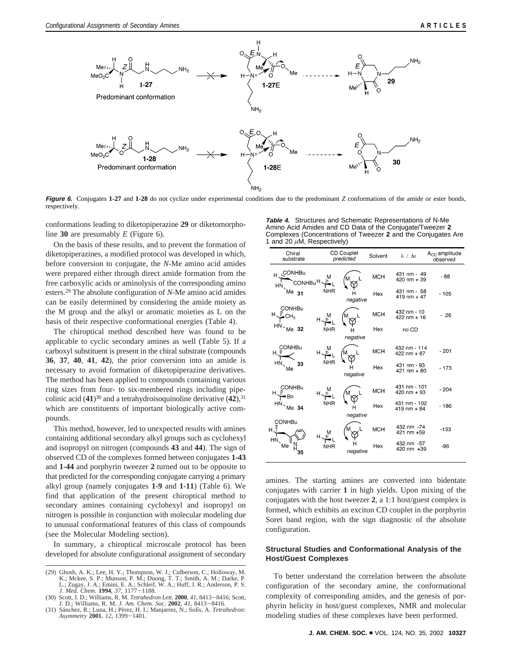

**Figure 6.** Conjugates **1-27** and **1-28** do not cyclize under experimental conditions due to the predominant *Z* conformations of the amide or ester bonds, respectively.

conformations leading to diketopiperazine **29** or diketomorpholine **30** are presumably *E* (Figure 6).

On the basis of these results, and to prevent the formation of diketopiperazines, a modified protocol was developed in which, before conversion to conjugate, the *N*-Me amino acid amides were prepared either through direct amide formation from the free carboxylic acids or aminolysis of the corresponding amino esters.29 The absolute configuration of *N*-Me amino acid amides can be easily determined by considering the amide moiety as the M group and the alkyl or aromatic moieties as L on the basis of their respective conformational energies (Table 4).

The chiroptical method described here was found to be applicable to cyclic secondary amines as well (Table 5). If a carboxyl substituent is present in the chiral substrate (compounds **36**, **37**, **40**, **41**, **42**), the prior conversion into an amide is necessary to avoid formation of diketopiperazine derivatives. The method has been applied to compounds containing various ring sizes from four- to six-membered rings including pipecolinic acid  $(41)^{30}$  and a tetrahydroisoquinoline derivative  $(42)$ , <sup>31</sup> which are constituents of important biologically active compounds.

This method, however, led to unexpected results with amines containing additional secondary alkyl groups such as cyclohexyl and isopropyl on nitrogen (compounds **43** and **44**). The sign of observed CD of the complexes formed between conjugates **1-43** and **1-44** and porphyrin tweezer **2** turned out to be opposite to that predicted for the corresponding conjugate carrying a primary alkyl group (namely conjugates **1-9** and **1-11**) (Table 6). We find that application of the present chiroptical method to secondary amines containing cyclohexyl and isopropyl on nitrogen is possible in conjunction with molecular modeling due to unusual conformational features of this class of compounds (see the Molecular Modeling section).

In summary, a chiroptical microscale protocol has been developed for absolute configurational assignment of secondary

*J. Med. Chem.* **<sup>1994</sup>**, *<sup>37</sup>*, 1177-1188. (30) Scott, J. D.; Williams, R. M. *Tetrahedron Lett.* **<sup>2000</sup>**, *<sup>41</sup>*, 8413-8416; Scott, J. D.; Williams, R. M. *J. Am. Chem. Soc.* **2002**, 41, 8413–8416. (31) Sánchez, R.; Luna, H.; Pérez, H. I.; Manjarrez, N.; Solís, A. *Tetrahedron:* 

**Table 4.** Structures and Schematic Representations of N-Me Amino Acid Amides and CD Data of the Conjugate/Tweezer **2** Complexes (Concentrations of Tweezer **2** and the Conjugates Are 1 and 20 *µ*M, Respectively)

| Chiral<br>substrate                                | <b>CD Couplet</b><br>predicted |          | Solvent    | $\lambda / \Delta \epsilon$          | $ACD$ amplitude<br>observed |
|----------------------------------------------------|--------------------------------|----------|------------|--------------------------------------|-----------------------------|
| H <sub>S</sub> CONHBu<br>CONHBu <sup>H</sup><br>HN | м                              |          | <b>MCH</b> | 431 nm - 49<br>420 nm + 39           | - 88                        |
| Me <sub>31</sub>                                   | <b>NHR</b>                     | negative | Hex        | 431 nm - 58<br>$419 \text{ nm} + 47$ | $-105$                      |
| <b>CONHBu</b><br>$H \rightarrow C H_3$             | ᆑᄻᆠ                            | Μ        | <b>MCH</b> | 432 nm - 10<br>$422$ nm + 16         | $-26$                       |
| $HN - Me$ 32                                       | <b>NHR</b>                     | negative | Hex        | no CD                                |                             |
| CONHBu<br>н.э                                      |                                |          | <b>MCH</b> | 432 nm - 114<br>$422$ nm + 87        | $-201$                      |
| $HN_{\scriptscriptstyle\bullet}$<br>33<br>Me       |                                | negative | Hex        | 431 nm - 93<br>$421$ nm + 80         | $-173$                      |
| CONHBu<br>■Bn                                      | ᄖᄼᆠᇺ                           | M        | <b>MCH</b> | 431 nm - 101<br>$420$ nm + 93        | $-204$                      |
| $HN$ Me 34                                         | <b>NHR</b>                     | negative | Hex        | 431 nm - 102<br>$419$ nm + 84        | $-186$                      |
| <b>CONHBu</b><br>нĴ                                | M<br>Hこ                        |          | <b>MCH</b> | 432 nm -74<br>421 nm +59             | $-133$                      |
| HN<br>Me<br>35                                     | <b>NHR</b>                     | negative | Hex        | 432 nm -57<br>420 nm +39             | -96                         |

amines. The starting amines are converted into bidentate conjugates with carrier **1** in high yields. Upon mixing of the conjugates with the host tweezer **2**, a 1:1 host/guest complex is formed, which exhibits an exciton CD couplet in the porphyrin Soret band region, with the sign diagnostic of the absolute configuration.

# **Structural Studies and Conformational Analysis of the Host/Guest Complexes**

To better understand the correlation between the absolute configuration of the secondary amine, the conformational complexity of corresponding amides, and the genesis of porphyrin helicity in host/guest complexes, NMR and molecular modeling studies of these complexes have been performed.

<sup>(29)</sup> Ghosh, A. K.; Lee, H. Y.; Thompson, W. J.; Culberson, C.; Holloway, M. K.; Mckee, S. P.; Munson, P. M.; Duong, T. T.; Smith, A. M.; Darke, P. L.; Zugay, J. A.; Emini, E. A.; Schleif, W. A.; Huff, J. R.; Anderson, P. S.

*Asymmetry* **<sup>2001</sup>**, *<sup>12</sup>*, 1399-1401.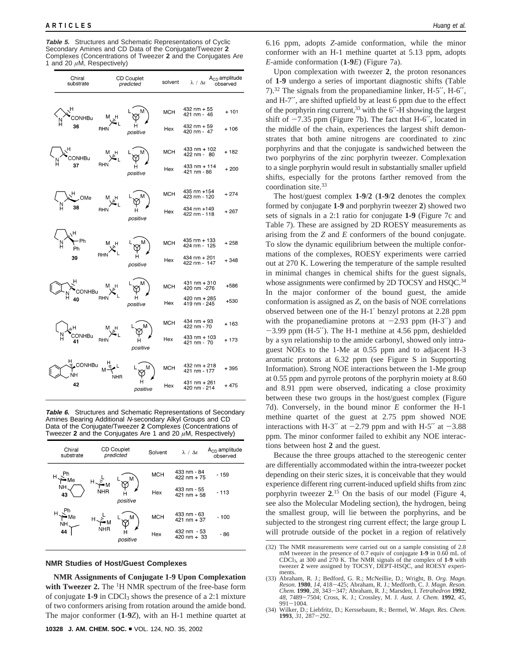#### **ARTICLES** *Huang et al.*

**Table 5.** Structures and Schematic Representations of Cyclic Secondary Amines and CD Data of the Conjugate/Tweezer **2** Complexes (Concentrations of Tweezer **2** and the Conjugates Are 1 and 20 *µ*M, Respectively)

| Chiral<br>substrate        | <b>CD Couplet</b><br>predicted |               | solvent    | λ / Δε                                                        | $A_{CD}$ amplitude<br>observed |
|----------------------------|--------------------------------|---------------|------------|---------------------------------------------------------------|--------------------------------|
| н<br>CONHBu<br>36          | RHN                            | positive      | МСН<br>Hex | 432 nm + 55<br>421 nm - 46<br>432 nm + 59<br>420 nm - 47      | $+101$<br>$+106$               |
| CONHBu                     | M H<br><b>RHN</b>              |               | MCH        | 433 nm + 102<br>422 nm - 80                                   | + 182                          |
| 37                         |                                | positive      | Hex        | 433 nm + 114<br>421 nm - 86                                   | $+200$                         |
| OMe                        | м<br>н                         | м             | <b>MCH</b> | 435 nm +154<br>423 nm - 120                                   | $+274$                         |
| 38                         | <b>RHN</b>                     | positive      | Hex        | 434 nm +149<br>422 nm - 118                                   | $+267$                         |
| н<br>- Ph<br>н<br>Ph<br>39 | <b>RHN</b>                     | positive      | MCH<br>Hex | 435 nm + 133<br>424 nm - 125<br>434 nm + 201<br>422 nm - 147  | + 258<br>$+348$                |
| CONHBu<br>Η<br>40          | RHN                            | н<br>positive | мсн<br>Hex | $431$ nm + 310<br>420 nm -276<br>420 nm + 285<br>419 nm - 245 | $+586$<br>$+530$               |
| H۸,                        | м                              | L             | <b>MCH</b> | 434 nm + 93<br>422 nm - 70                                    | $+163$                         |
| CONHBu<br>41               | <b>RHN</b>                     | н<br>positive | Hex        | $433$ nm + 103<br>421 nm - 70                                 | $+173$                         |
| CONHBu<br>NΗ               |                                |               | MCH        | 432 nm + 218<br>421 nm - 177                                  | $+395$                         |
| 42                         | NHR                            | positive      | Hex        | 431 nm + 261<br>420 nm - 214                                  | $+475$                         |
|                            |                                |               |            |                                                               |                                |

**Table 6.** Structures and Schematic Representations of Secondary Amines Bearing Additional N-secondary Alkyl Groups and CD Data of the Conjugate/Tweezer **2** Complexes (Concentrations of Tweezer **2** and the Conjugates Are 1 and 20 *µ*M, Respectively)

| Chiral<br>substrate | <b>CD Couplet</b><br>predicted | Solvent         | $\lambda$ / $\Delta \epsilon$        | $ACD$ amplitude<br>observed |
|---------------------|--------------------------------|-----------------|--------------------------------------|-----------------------------|
|                     | M<br>н                         | <b>MCH</b>      | 433 nm - 84<br>$422$ nm + 75         | $-159$                      |
| <b>NH</b><br>43     | ٠M<br><b>NHR</b><br>positive   | Hex             | 433 nm - 55<br>$421$ nm + 58         | $-113$                      |
| Мe<br>ŃH            | M                              | <b>MCH</b><br>М | 433 nm - 63<br>$421$ nm + 37         | $-100$                      |
| 44                  | <b>NHR</b><br>positive         | Hex             | 432 nm - 53<br>$420 \text{ nm} + 33$ | - 86                        |

#### **NMR Studies of Host/Guest Complexes**

**NMR Assignments of Conjugate 1-9 Upon Complexation** with Tweezer 2. The <sup>1</sup>H NMR spectrum of the free-base form of conjugate **1-9** in CDCl<sub>3</sub> shows the presence of a 2:1 mixture of two conformers arising from rotation around the amide bond. The major conformer (**1**-**9***Z*), with an H-1 methine quartet at 6.16 ppm, adopts *Z*-amide conformation, while the minor conformer with an H-1 methine quartet at 5.13 ppm, adopts *E*-amide conformation (**1-9***E*) (Figure 7a).

Upon complexation with tweezer **2**, the proton resonances of **1-9** undergo a series of important diagnostic shifts (Table 7).32 The signals from the propanediamine linker, H-5′′, H-6′′, and H-7′′, are shifted upfield by at least 6 ppm due to the effect of the porphyrin ring current,33 with the 6′′-H showing the largest shift of  $-7.35$  ppm (Figure 7b). The fact that H-6", located in the middle of the chain, experiences the largest shift demonstrates that both amine nitrogens are coordinated to zinc porphyrins and that the conjugate is sandwiched between the two porphyrins of the zinc porphyrin tweezer. Complexation to a single porphyrin would result in substantially smaller upfield shifts, especially for the protons farther removed from the coordination site.33

The host/guest complex **1-9**/**2** (**1-9**/**2** denotes the complex formed by conjugate **1-9** and porphyrin tweezer **2**) showed two sets of signals in a 2:1 ratio for conjugate **1-9** (Figure 7c and Table 7). These are assigned by 2D ROESY measurements as arising from the *Z* and *E* conformers of the bound conjugate. To slow the dynamic equilibrium between the multiple conformations of the complexes, ROESY experiments were carried out at 270 K. Lowering the temperature of the sample resulted in minimal changes in chemical shifts for the guest signals, whose assignments were confirmed by 2D TOCSY and HSQC.<sup>34</sup> In the major conformer of the bound guest, the amide conformation is assigned as *Z*, on the basis of NOE correlations observed between one of the H-1′ benzyl protons at 2.28 ppm with the propanediamine protons at  $-2.93$  ppm (H-3") and  $-3.99$  ppm (H-5"). The H-1 methine at 4.56 ppm, deshielded by a syn relationship to the amide carbonyl, showed only intraguest NOEs to the 1-Me at 0.55 ppm and to adjacent H-3 aromatic protons at 6.32 ppm (see Figure S in Supporting Information). Strong NOE interactions between the 1-Me group at 0.55 ppm and pyrrole protons of the porphyrin moiety at 8.60 and 8.91 ppm were observed, indicating a close proximity between these two groups in the host/guest complex (Figure 7d). Conversely, in the bound minor *E* conformer the H-1 methine quartet of the guest at 2.75 ppm showed NOE interactions with H-3" at  $-2.79$  ppm and with H-5" at  $-3.88$ ppm. The minor conformer failed to exhibit any NOE interactions between host **2** and the guest.

Because the three groups attached to the stereogenic center are differentially accommodated within the intra-tweezer pocket depending on their steric sizes, it is conceivable that they would experience different ring current-induced upfield shifts from zinc porphyrin tweezer **2**. <sup>15</sup> On the basis of our model (Figure 4, see also the Molecular Modeling section), the hydrogen, being the smallest group, will lie between the porphyrins, and be subjected to the strongest ring current effect; the large group L will protrude outside of the pocket in a region of relatively

<sup>(32)</sup> The NMR measurements were carried out on a sample consisting of 2.8 mM tweezer in the presence of 0.7 equiv of conjugate **1-9** in 0.60 mL of CDCl<sub>3</sub>, at 300 and 270 K. The NMR signals of the complex of **1-9** with tweezer 2 were assigned by TOCSY, DEPT-HSQC, and ROESY experiments.

ments. (33) Abraham, R. J.; Bedford, G. R.; McNeillie, D.; Wright, B. *Org. Magn. Reson.* **<sup>1980</sup>**, *<sup>14</sup>*, 418-425; Abraham, R. J.; Medforth, C. J. *Magn. Reson. Chem.* **<sup>1990</sup>**, *<sup>28</sup>*, 343-347; Abraham, R. J.; Marsden, I. *Tetrahedron* **<sup>1992</sup>**, *<sup>48</sup>*, 7489-7504; Cross, K. J.; Crossley, M. J. *Aust. J. Chem.* **<sup>1992</sup>**, *<sup>45</sup>*, <sup>991</sup>-1004.

<sup>(34)</sup> Wilker, D.; Liebfritz, D.; Kerssebaum, R.; Bermel, W. *Magn. Res. Chem.* **<sup>1993</sup>**, *<sup>31</sup>*, 287-292.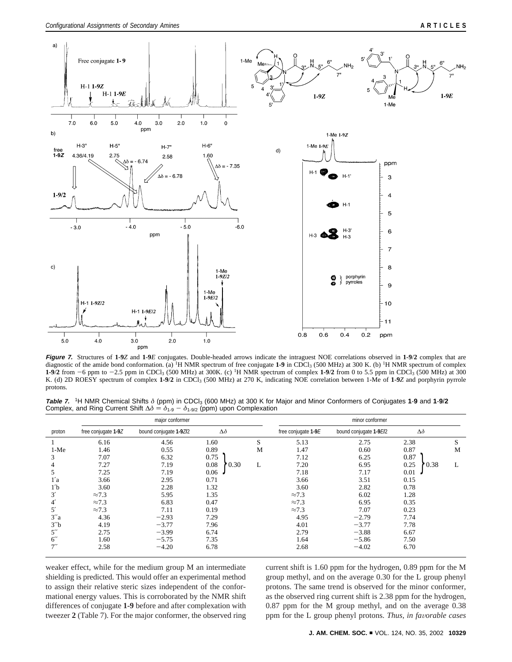

Figure 7. Structures of 1-9Z and 1-9E conjugates. Double-headed arrows indicate the intraguest NOE correlations observed in 1-9/2 complex that are diagnostic of the amide bond conformation. (a) <sup>1</sup>H NMR spectrum of free conjugate **1-9** in CDCl<sub>3</sub> (500 MHz) at 300 K. (b) <sup>1</sup>H NMR spectrum of complex **1-9**/**<sup>2</sup>** from -6 ppm to -2.5 ppm in CDCl3 (500 MHz) at 300K. (c) 1H NMR spectrum of complex **1-9**/**<sup>2</sup>** from 0 to 5.5 ppm in CDCl3 (500 MHz) at 300 K. (d) 2D ROESY spectrum of complex **1-9**/**2** in CDCl3 (500 MHz) at 270 K, indicating NOE correlation between 1-Me of **1**-**9***Z* and porphyrin pyrrole protons.

**Table 7.** 1H NMR Chemical Shifts *δ* (ppm) in CDCl3 (600 MHz) at 300 K for Major and Minor Conformers of Conjugates **1**-**9** and **1**-**9**/**2** Complex, and Ring Current Shift  $\Delta \delta = \delta_{1\text{-}9} - \delta_{1\text{-}9/2}$  (ppm) upon Complexation

|                    | major conformer     |                        |                |   | minor conformer     |                        |                |   |
|--------------------|---------------------|------------------------|----------------|---|---------------------|------------------------|----------------|---|
| proton             | free conjugate 1-9Z | bound conjugate 1-9ZI2 | $\Delta\delta$ |   | free conjugate 1-9E | bound conjugate 1-9E/2 | $\Delta\delta$ |   |
|                    | 6.16                | 4.56                   | 1.60           | S | 5.13                | 2.75                   | 2.38           | S |
| $1-Me$             | 1.46                | 0.55                   | 0.89           | М | 1.47                | 0.60                   | 0.87           | M |
| 3                  | 7.07                | 6.32                   | 0.75           |   | 7.12                | 6.25                   | 0.87           |   |
| 4                  | 7.27                | 7.19                   | 0.30<br>0.08   | L | 7.20                | 6.95                   | 0.25<br>0.38   | L |
| 5                  | 7.25                | 7.19                   | 0.06           |   | 7.18                | 7.17                   | 0.01           |   |
| 1'a                | 3.66                | 2.95                   | 0.71           |   | 3.66                | 3.51                   | 0.15           |   |
| 1 <sub>b</sub>     | 3.60                | 2.28                   | 1.32           |   | 3.60                | 2.82                   | 0.78           |   |
| 3'                 | $\approx 7.3$       | 5.95                   | 1.35           |   | $\approx 7.3$       | 6.02                   | 1.28           |   |
| $4^{\prime}$       | $\approx 7.3$       | 6.83                   | 0.47           |   | $\approx 7.3$       | 6.95                   | 0.35           |   |
| 5'                 | $\approx 7.3$       | 7.11                   | 0.19           |   | $\approx 7.3$       | 7.07                   | 0.23           |   |
| 3''a               | 4.36                | $-2.93$                | 7.29           |   | 4.95                | $-2.79$                | 7.74           |   |
| 3'' <sub>b</sub>   | 4.19                | $-3.77$                | 7.96           |   | 4.01                | $-3.77$                | 7.78           |   |
| $5^{\prime\prime}$ | 2.75                | $-3.99$                | 6.74           |   | 2.79                | $-3.88$                | 6.67           |   |
| $6^{\prime\prime}$ | 1.60                | $-5.75$                | 7.35           |   | 1.64                | $-5.86$                | 7.50           |   |
| 7''                | 2.58                | $-4.20$                | 6.78           |   | 2.68                | $-4.02$                | 6.70           |   |

weaker effect, while for the medium group M an intermediate shielding is predicted. This would offer an experimental method to assign their relative steric sizes independent of the conformational energy values. This is corroborated by the NMR shift differences of conjugate **1-9** before and after complexation with tweezer **2** (Table 7). For the major conformer, the observed ring current shift is 1.60 ppm for the hydrogen, 0.89 ppm for the M group methyl, and on the average 0.30 for the L group phenyl protons. The same trend is observed for the minor conformer, as the observed ring current shift is 2.38 ppm for the hydrogen, 0.87 ppm for the M group methyl, and on the average 0.38 ppm for the L group phenyl protons. *Thus, in favorable cases*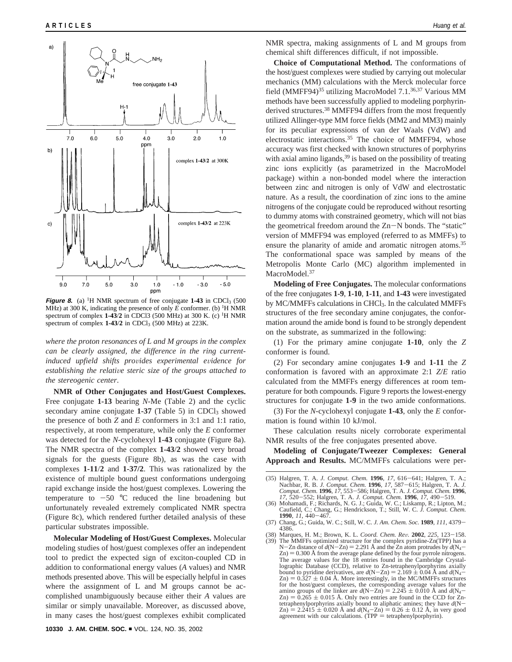

**Figure 8.** (a) <sup>1</sup>H NMR spectrum of free conjugate **1-43** in CDCl<sub>3</sub> (500) MHz) at 300 K, indicating the presence of only  $E$  conformer. (b) <sup>1</sup>H NMR spectrum of complex  $1-43/2$  in CDCl3 (500 MHz) at 300 K. (c) <sup>1</sup>H NMR spectrum of complex **1-43**/**2** in CDCl3 (500 MHz) at 223K.

*where the proton resonances of L and M groups in the complex can be clearly assigned, the difference in the ring currentinduced upfield shifts pro*V*ides experimental e*V*idence for establishing the relati*V*e steric size of the groups attached to the stereogenic center*.

**NMR of Other Conjugates and Host/Guest Complexes.** Free conjugate **1-13** bearing *N*-Me (Table 2) and the cyclic secondary amine conjugate 1-37 (Table 5) in CDCl<sub>3</sub> showed the presence of both *Z* and *E* conformers in 3:1 and 1:1 ratio, respectively, at room temperature, while only the *E* conformer was detected for the *N*-cyclohexyl **1-43** conjugate (Figure 8a). The NMR spectra of the complex **1-43**/**2** showed very broad signals for the guests (Figure 8b), as was the case with complexes **1-11**/**2** and **1-37/2**. This was rationalized by the existence of multiple bound guest conformations undergoing rapid exchange inside the host/guest complexes. Lowering the temperature to  $-50$  °C reduced the line broadening but unfortunately revealed extremely complicated NMR spectra (Figure 8c), which rendered further detailed analysis of these particular substrates impossible.

**Molecular Modeling of Host/Guest Complexes.** Molecular modeling studies of host/guest complexes offer an independent tool to predict the expected sign of exciton-coupled CD in addition to conformational energy values (*A* values) and NMR methods presented above. This will be especially helpful in cases where the assignment of L and M groups cannot be accomplished unambiguously because either their *A* values are similar or simply unavailable. Moreover, as discussed above, in many cases the host/guest complexes exhibit complicated

NMR spectra, making assignments of L and M groups from chemical shift differences difficult, if not impossible.

**Choice of Computational Method.** The conformations of the host/guest complexes were studied by carrying out molecular mechanics (MM) calculations with the Merck molecular force field (MMFF94)<sup>35</sup> utilizing MacroModel 7.1.<sup>36,37</sup> Various MM methods have been successfully applied to modeling porphyrinderived structures.<sup>38</sup> MMFF94 differs from the most frequently utilized Allinger-type MM force fields (MM2 and MM3) mainly for its peculiar expressions of van der Waals (VdW) and electrostatic interactions.<sup>35</sup> The choice of MMFF94, whose accuracy was first checked with known structures of porphyrins with axial amino ligands,  $39$  is based on the possibility of treating zinc ions explicitly (as parametrized in the MacroModel package) within a non-bonded model where the interaction between zinc and nitrogen is only of VdW and electrostatic nature. As a result, the coordination of zinc ions to the amine nitrogens of the conjugate could be reproduced without resorting to dummy atoms with constrained geometry, which will not bias the geometrical freedom around the Zn-N bonds. The "static" version of MMFF94 was employed (referred to as MMFFs) to ensure the planarity of amide and aromatic nitrogen atoms.<sup>35</sup> The conformational space was sampled by means of the Metropolis Monte Carlo (MC) algorithm implemented in MacroModel.<sup>37</sup>

**Modeling of Free Conjugates.** The molecular conformations of the free conjugates **1-9**, **1-10**, **1-11**, and **1-43** were investigated by MC/MMFFs calculations in CHCl3. In the calculated MMFFs structures of the free secondary amine conjugates, the conformation around the amide bond is found to be strongly dependent on the substrate, as summarized in the following:

(1) For the primary amine conjugate **1-10**, only the *Z* conformer is found.

(2) For secondary amine conjugates **1-9** and **1-11** the *Z* conformation is favored with an approximate 2:1 *Z*/*E* ratio calculated from the MMFFs energy differences at room temperature for both compounds. Figure 9 reports the lowest-energy structures for conjugate **1-9** in the two amide conformations.

(3) For the *N*-cyclohexyl conjugate **1-43**, only the *E* conformation is found within 10 kJ/mol.

These calculation results nicely corroborate experimental NMR results of the free conjugates presented above.

**Modeling of Conjugate/Tweezer Complexes: General Approach and Results.** MC/MMFFs calculations were per-

(38) Marques, H. M.; Brown, K. L. *Coord. Chem. Re*V*.* **<sup>2002</sup>**, *<sup>225</sup>*, 123-158. (39) The MMFFs optimized structure for the complex pyridine-Zn(TPP) has a N-Zn distance of  $d(N-Zn) = 2.291$  Å and the Zn atom protrudes by  $d(N_4 - Zn) = 0.300$  Å from the average plane defined by the four pyrrole nitrogens. The average values for the 18 entries found in the Cambridge Crystallographic Database (CCD), relative to Zn-tetraphenylporphyrins axially bound to pyridine derivatives, are  $d(N-Zn) = 2.169 \pm 0.04$  Å and  $d(N<sub>4</sub> Zn$ ) = 0.327  $\pm$  0.04 Å. More interestingly, in the MC/MMFFs structures for the host/guest complexes, the corresponding average values for the amino groups of the linker are  $d(N-Zn) = 2.245 \pm 0.010$  Å and  $d(N_4$ for the host/guest complexes, the corresponding average values for the  $Zn$ ) = 0.265  $\pm$  0.015 Å. Only two entries are found in the CCD for Zn-<br>tetraphenylporphyrins axially bound to aliphatic amines; they have  $d(N$  $t(\text{Zn}) = 2.2415 \pm 0.020 \text{ Å}$  and  $d(N_4 - Zn) = 0.26 \pm 0.12 \text{ Å}$ , in very good  $Z_{\text{n}}$ ) = 2.2415  $\pm$  0.020 Å and  $d(N_{4}-Z_{\text{n}}) = 0.26 \pm 0.12$  Å, in very good agreement with our calculations. (TPP = tetraphenylporphyrin).

<sup>(35)</sup> Halgren, T. A. *J. Comput. Chem.* **1996**,  $17$ ,  $616-641$ ; Halgren, T. A.;<br>Nachbar, R. B. *J. Comput. Chem.* **1996**,  $17$ ,  $587-615$ ; Halgren, T. A. *J. Comput. Chem.* **1996**,  $17$ ,  $553-586$ ; Halgren, T. A. *J. Comp* 

<sup>(36)</sup> Mohamadi, F.; Richards, N. G. J.; Guida, W. C.; Liskamp, R.; Lipton, M.; Caufield, C.; Chang, G.; Hendrickson, T.; Still, W. C. *J. Comput. Chem.*

**<sup>1990</sup>**, *<sup>11</sup>*, 440-467. (37) Chang, G.; Guida, W. C.; Still, W. C. *J. Am. Chem. Soc.* **<sup>1989</sup>**, *<sup>111</sup>*, 4379- 4386.<br>
(38) Marques, H. M.: Brown, K. L. Coord, Chem. Rev. 2002, 225, 123–158.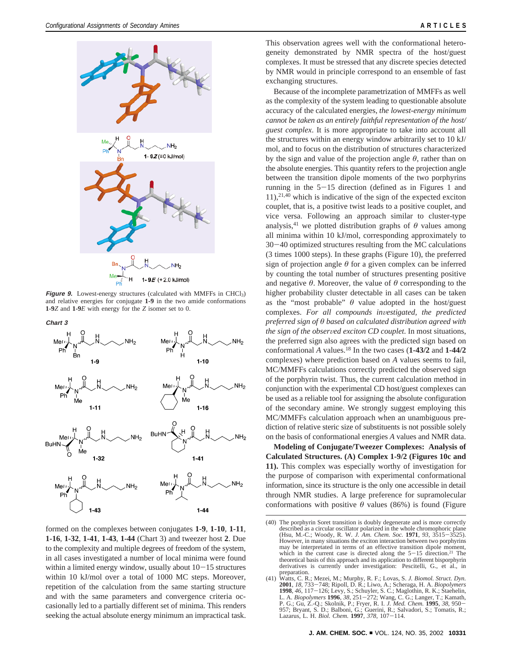

**Figure 9.** Lowest-energy structures (calculated with MMFFs in CHCl<sub>3</sub>) and relative energies for conjugate **1-9** in the two amide conformations **1-9***Z* and **1-9***E* with energy for the *Z* isomer set to 0.

**Chart 3**



formed on the complexes between conjugates **1-9**, **1-10**, **1-11**, **1-16**, **1-32**, **1-41**, **1-43**, **1-44** (Chart 3) and tweezer host **2**. Due to the complexity and multiple degrees of freedom of the system, in all cases investigated a number of local minima were found within a limited energy window, usually about  $10-15$  structures within 10 kJ/mol over a total of 1000 MC steps. Moreover, repetition of the calculation from the same starting structure and with the same parameters and convergence criteria occasionally led to a partially different set of minima. This renders seeking the actual absolute energy minimum an impractical task.

This observation agrees well with the conformational heterogeneity demonstrated by NMR spectra of the host/guest complexes. It must be stressed that any discrete species detected by NMR would in principle correspond to an ensemble of fast exchanging structures.

Because of the incomplete parametrization of MMFFs as well as the complexity of the system leading to questionable absolute accuracy of the calculated energies, *the lowest-energy minimum cannot be taken as an entirely faithful representation of the host/ guest complex*. It is more appropriate to take into account all the structures within an energy window arbitrarily set to 10 kJ/ mol, and to focus on the distribution of structures characterized by the sign and value of the projection angle *θ*, rather than on the absolute energies. This quantity refers to the projection angle between the transition dipole moments of the two porphyrins running in the 5-15 direction (defined as in Figures 1 and 11),21,40 which is indicative of the sign of the expected exciton couplet, that is, a positive twist leads to a positive couplet, and vice versa. Following an approach similar to cluster-type analysis,<sup>41</sup> we plotted distribution graphs of  $\theta$  values among all minima within 10 kJ/mol, corresponding approximately to <sup>30</sup>-40 optimized structures resulting from the MC calculations (3 times 1000 steps). In these graphs (Figure 10), the preferred sign of projection angle *θ* for a given complex can be inferred by counting the total number of structures presenting positive and negative  $\theta$ . Moreover, the value of  $\theta$  corresponding to the higher probability cluster detectable in all cases can be taken as the "most probable"  $\theta$  value adopted in the host/guest complexes. For all compounds investigated, the predicted *preferred sign of θ based on calculated distribution agreed with the sign of the observed exciton CD couplet*. In most situations, the preferred sign also agrees with the predicted sign based on conformational *A* values.18 In the two cases (**1-43/2** and **1-44/2** complexes) where prediction based on *A* values seems to fail, MC/MMFFs calculations correctly predicted the observed sign of the porphyrin twist. Thus, the current calculation method in conjunction with the experimental CD host/guest complexes can be used as a reliable tool for assigning the absolute configuration of the secondary amine. We strongly suggest employing this MC/MMFFs calculation approach when an unambiguous prediction of relative steric size of substituents is not possible solely on the basis of conformational energies *A* values and NMR data.

**Modeling of Conjugate/Tweezer Complexes: Analysis of Calculated Structures. (A) Complex 1-9/2 (Figures 10c and 11).** This complex was especially worthy of investigation for the purpose of comparison with experimental conformational information, since its structure is the only one accessible in detail through NMR studies. A large preference for supramolecular conformations with positive  $\theta$  values (86%) is found (Figure

<sup>(40)</sup> The porphyrin Soret transition is doubly degenerate and is more correctly described as a circular oscillator polarized in the whole chromophoric plane (Hsu, M.-C.; Woody, R. W. J. Am. Chem. Soc. 1971, 93, 3515–3525). (Hsu, M.-C.; Woody, R. W. *J. Am. Chem. Soc.* **<sup>1971</sup>**, *<sup>93</sup>*, 3515-3525). However, in many situations the exciton interaction between two porphyrins may be interpretated in terms of an effective transition dipole moment, which in the current case is directed along the  $5-15$  direction.<sup>21</sup> The theoretical basis of this approach and its application to different bisporphyrin derivatives is currently under investigation: Pescitelli, G., et al., in preparation.

<sup>(41)</sup> Watts, C. R.; Mezei, M.; Murphy, R. F.; Lovas, S. *J. Biomol. Struct. Dyn.* **2001**, 18, 733–748; Ripoll, D. R.; Liwo, A.; Scheraga, H. A. *Biopolymers*<br>**1998**, 46, 117–126; Levy, S.; Schuyler, S. C.; Maglothin, R. K.; Staehelin, L. A. *Biopolymers* **1996**, 38, 251–272; Wang, C. G.; Langer, T.; Kam P. G.; Gu, Z.-Q.; Skolnik, P.; Fryer, R. I. *J. Med. Chem.* **<sup>1995</sup>**, *<sup>38</sup>*, 950- 957; Bryant, S. D.; Balboni, G.; Guerini, R.; Salvadori, S.; Tomatis, R.; Lazarus, L. H. *Biol. Chem.* **<sup>1997</sup>**, *<sup>378</sup>*, 107-114.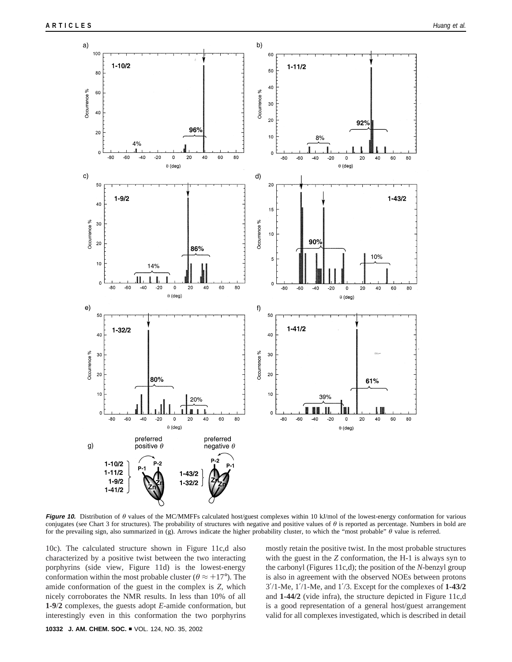

**Figure 10.** Distribution of *θ* values of the MC/MMFFs calculated host/guest complexes within 10 kJ/mol of the lowest-energy conformation for various conjugates (see Chart 3 for structures). The probability of structures with negative and positive values of *θ* is reported as percentage. Numbers in bold are for the prevailing sign, also summarized in (g). Arrows indicate the higher probability cluster, to which the "most probable" *θ* value is referred.

10c). The calculated structure shown in Figure 11c,d also characterized by a positive twist between the two interacting porphyrins (side view, Figure 11d) is the lowest-energy conformation within the most probable cluster ( $\theta \approx +17^{\circ}$ ). The amide conformation of the guest in the complex is *Z,* which nicely corroborates the NMR results. In less than 10% of all **1-9**/**2** complexes, the guests adopt *E*-amide conformation, but interestingly even in this conformation the two porphyrins mostly retain the positive twist. In the most probable structures with the guest in the *Z* conformation, the H-1 is always syn to the carbonyl (Figures 11c,d); the position of the *N*-benzyl group is also in agreement with the observed NOEs between protons 3′/1-Me, 1′/1-Me, and 1′/3. Except for the complexes of **1-43/2** and **1-44/2** (vide infra), the structure depicted in Figure 11c,d is a good representation of a general host/guest arrangement valid for all complexes investigated, which is described in detail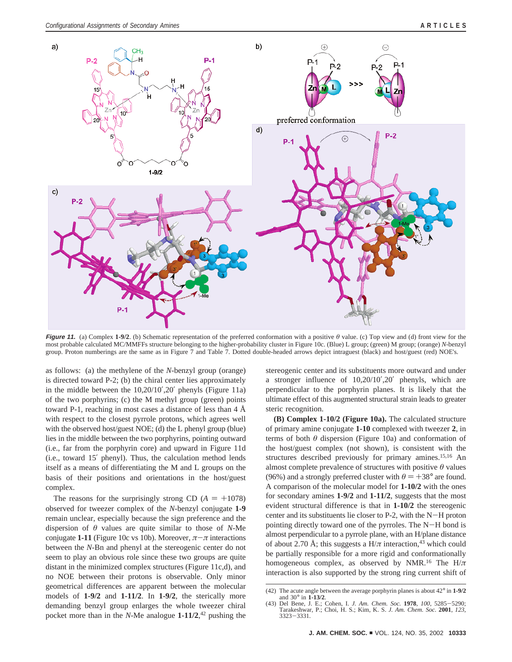

**Figure 11.** (a) Complex **1-9/2**. (b) Schematic representation of the preferred conformation with a positive *θ* value. (c) Top view and (d) front view for the most probable calculated MC/MMFFs structure belonging to the higher-probability cluster in Figure 10c. (Blue) L group; (green) M group; (orange) *N*-benzyl group. Proton numberings are the same as in Figure 7 and Table 7. Dotted double-headed arrows depict intraguest (black) and host/guest (red) NOE's.

as follows: (a) the methylene of the *N*-benzyl group (orange) is directed toward P-2; (b) the chiral center lies approximately in the middle between the 10,20/10′,20′ phenyls (Figure 11a) of the two porphyrins; (c) the M methyl group (green) points toward P-1, reaching in most cases a distance of less than 4 Å with respect to the closest pyrrole protons, which agrees well with the observed host/guest NOE; (d) the L phenyl group (blue) lies in the middle between the two porphyrins, pointing outward (i.e., far from the porphyrin core) and upward in Figure 11d (i.e., toward 15′ phenyl). Thus, the calculation method lends itself as a means of differentiating the M and L groups on the basis of their positions and orientations in the host/guest complex.

The reasons for the surprisingly strong CD  $(A = +1078)$ observed for tweezer complex of the *N*-benzyl conjugate **1-9** remain unclear, especially because the sign preference and the dispersion of *θ* values are quite similar to those of *N*-Me conjugate **1-11** (Figure 10c vs 10b). Moreover,  $\pi-\pi$  interactions between the *N*-Bn and phenyl at the stereogenic center do not seem to play an obvious role since these two groups are quite distant in the minimized complex structures (Figure 11c,d), and no NOE between their protons is observable. Only minor geometrical differences are apparent between the molecular models of **1-9/2** and **1-11/2**. In **1-9/2**, the sterically more demanding benzyl group enlarges the whole tweezer chiral pocket more than in the *N*-Me analogue **1-11/2**, <sup>42</sup> pushing the stereogenic center and its substituents more outward and under a stronger influence of 10,20/10′,20′ phenyls, which are perpendicular to the porphyrin planes. It is likely that the ultimate effect of this augmented structural strain leads to greater steric recognition.

**(B) Complex 1-10/2 (Figure 10a).** The calculated structure of primary amine conjugate **1-10** complexed with tweezer **2**, in terms of both *θ* dispersion (Figure 10a) and conformation of the host/guest complex (not shown), is consistent with the structures described previously for primary amines.<sup>15,16</sup> An almost complete prevalence of structures with positive *θ* values (96%) and a strongly preferred cluster with  $\theta = +38^{\circ}$  are found. A comparison of the molecular model for **1-10/2** with the ones for secondary amines **1-9/2** and **1-11/2**, suggests that the most evident structural difference is that in **1-10/2** the stereogenic center and its substituents lie closer to P-2, with the N-H proton pointing directly toward one of the pyrroles. The N-H bond is almost perpendicular to a pyrrole plane, with an H/plane distance of about 2.70 Å; this suggests a  $H/\pi$  interaction,<sup>43</sup> which could be partially responsible for a more rigid and conformationally homogeneous complex, as observed by NMR.16 The H/*π* interaction is also supported by the strong ring current shift of

<sup>(42)</sup> The acute angle between the average porphyrin planes is about 42° in **1-9/2** and 30° in **1-13/2**.

<sup>(43)</sup> Del Bene, J. E.; Cohen, I. *J. Am. Chem. Soc.* **<sup>1978</sup>**, *<sup>100</sup>*, 5285-5290; Tarakeshwar, P.; Choi, H. S.; Kim, K. S. *J. Am. Chem. Soc.* **2001**, *123*, <sup>3323</sup>-3331.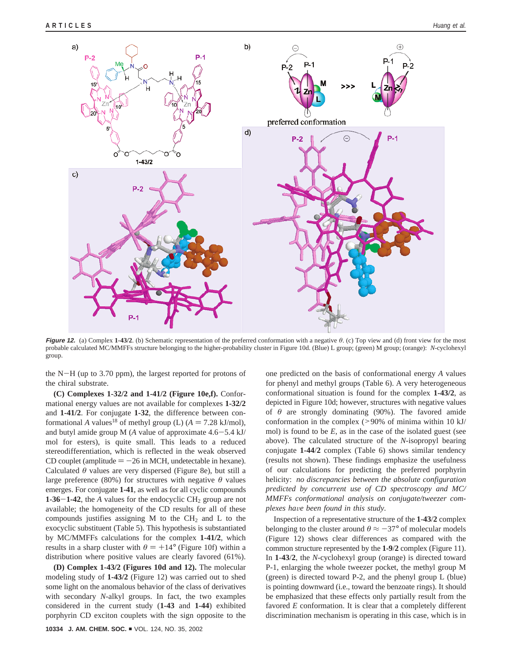

**Figure 12.** (a) Complex 1-43/2. (b) Schematic representation of the preferred conformation with a negative  $\theta$ . (c) Top view and (d) front view for the most probable calculated MC/MMFFs structure belonging to the higher-probability cluster in Figure 10d. (Blue) L group; (green) M group; (orange): *N*-cyclohexyl group.

the N-H (up to 3.70 ppm), the largest reported for protons of the chiral substrate.

**(C) Complexes 1-32/2 and 1-41/2 (Figure 10e,f).** Conformational energy values are not available for complexes **1-32/2** and **1-41/2**. For conjugate **1-32**, the difference between conformational *A* values<sup>18</sup> of methyl group (L)  $(A = 7.28 \text{ kJ/mol})$ , and butyl amide group M (*<sup>A</sup>* value of approximate 4.6-5.4 kJ/ mol for esters), is quite small. This leads to a reduced stereodifferentiation, which is reflected in the weak observed CD couplet (amplitude  $= -26$  in MCH, undetectable in hexane). Calculated *θ* values are very dispersed (Figure 8e), but still a large preference (80%) for structures with negative  $\theta$  values emerges. For conjugate **1-41**, as well as for all cyclic compounds **1-36–1-42**, the *A* values for the endocyclic  $CH_2$  group are not available; the homogeneity of the CD results for all of these compounds justifies assigning M to the  $CH<sub>2</sub>$  and L to the exocyclic substituent (Table 5). This hypothesis is substantiated by MC/MMFFs calculations for the complex **1-41/2**, which results in a sharp cluster with  $\theta = +14^{\circ}$  (Figure 10f) within a distribution where positive values are clearly favored (61%).

**(D) Complex 1-43/2 (Figures 10d and 12).** The molecular modeling study of **1-43/2** (Figure 12) was carried out to shed some light on the anomalous behavior of the class of derivatives with secondary *N*-alkyl groups. In fact, the two examples considered in the current study (**1-43** and **1-44**) exhibited porphyrin CD exciton couplets with the sign opposite to the

one predicted on the basis of conformational energy *A* values for phenyl and methyl groups (Table 6). A very heterogeneous conformational situation is found for the complex **1-43/2**, as depicted in Figure 10d; however, structures with negative values of  $\theta$  are strongly dominating (90%). The favored amide conformation in the complex (>90% of minima within 10 kJ/ mol) is found to be *E*, as in the case of the isolated guest (see above). The calculated structure of the *N*-isopropyl bearing conjugate **1-44**/**2** complex (Table 6) shows similar tendency (results not shown). These findings emphasize the usefulness of our calculations for predicting the preferred porphyrin helicity: *no discrepancies between the absolute configuration predicted by concurrent use of CD spectroscopy and MC/ MMFFs conformational analysis on conjugate/tweezer complexes ha*V*e been found in this study*.

Inspection of a representative structure of the **1**-**43**/**2** complex belonging to the cluster around  $\theta \approx -37^{\circ}$  of molecular models (Figure 12) shows clear differences as compared with the common structure represented by the **1-9**/**2** complex (Figure 11). In **1**-**43**/**2**, the *N*-cyclohexyl group (orange) is directed toward P-1, enlarging the whole tweezer pocket, the methyl group M (green) is directed toward P-2, and the phenyl group L (blue) is pointing downward (i.e., toward the benzoate rings). It should be emphasized that these effects only partially result from the favored *E* conformation. It is clear that a completely different discrimination mechanism is operating in this case, which is in